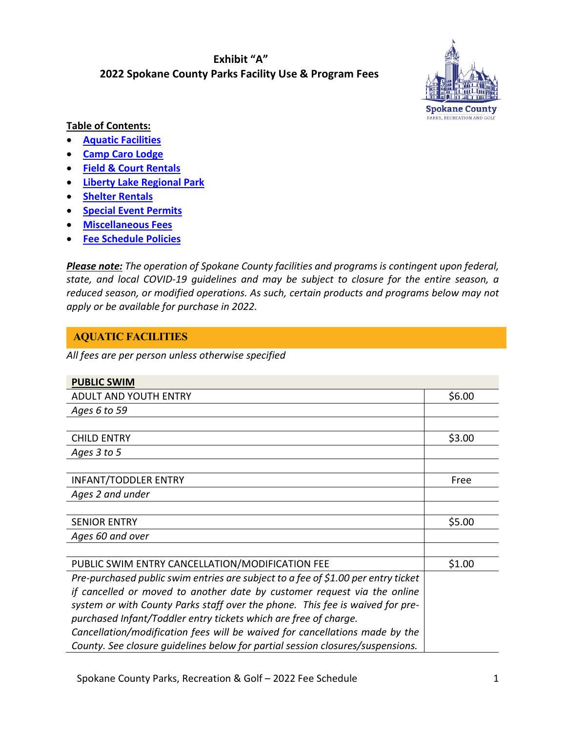## **Exhibit "A" 2022 Spokane County Parks Facility Use & Program Fees**



## **Table of Contents:**

- **[Aquatic Facilities](#page-0-0)**
- **[Camp Caro Lodge](#page-4-0)**
- **[Field & Court Rentals](#page-5-0)**
- **Liberty Lake Regional Park**
- **[Shelter Rentals](#page-9-0)**
- **[Special Event](#page-10-0) Permits**
- **[Miscellaneous Fees](#page-11-0)**
- **[Fee Schedule Policies](#page-12-0)**

*Please note: The operation of Spokane County facilities and programs is contingent upon federal, state, and local COVID-19 guidelines and may be subject to closure for the entire season, a reduced season, or modified operations. As such, certain products and programs below may not apply or be available for purchase in 2022.* 

# <span id="page-0-0"></span>**AQUATIC FACILITIES**

*All fees are per person unless otherwise specified*

| <b>PUBLIC SWIM</b>                                                                |        |
|-----------------------------------------------------------------------------------|--------|
| ADULT AND YOUTH ENTRY                                                             | \$6.00 |
| Ages 6 to 59                                                                      |        |
|                                                                                   |        |
| <b>CHILD ENTRY</b>                                                                | \$3.00 |
| Ages 3 to 5                                                                       |        |
|                                                                                   |        |
| <b>INFANT/TODDLER ENTRY</b>                                                       | Free   |
| Ages 2 and under                                                                  |        |
|                                                                                   |        |
| <b>SENIOR ENTRY</b>                                                               | \$5.00 |
| Ages 60 and over                                                                  |        |
|                                                                                   |        |
| PUBLIC SWIM ENTRY CANCELLATION/MODIFICATION FEE                                   | \$1.00 |
| Pre-purchased public swim entries are subject to a fee of \$1.00 per entry ticket |        |
| if cancelled or moved to another date by customer request via the online          |        |
| system or with County Parks staff over the phone. This fee is waived for pre-     |        |
| purchased Infant/Toddler entry tickets which are free of charge.                  |        |
| Cancellation/modification fees will be waived for cancellations made by the       |        |
| County. See closure quidelines below for partial session closures/suspensions.    |        |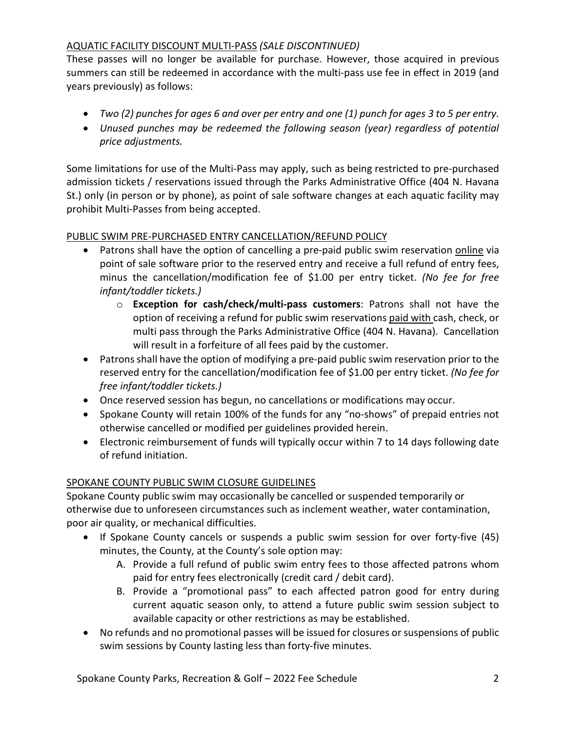## AQUATIC FACILITY DISCOUNT MULTI-PASS *(SALE DISCONTINUED)*

These passes will no longer be available for purchase. However, those acquired in previous summers can still be redeemed in accordance with the multi-pass use fee in effect in 2019 (and years previously) as follows:

- *Two (2) punches for ages 6 and over per entry and one (1) punch for ages 3 to 5 per entry.*
- *Unused punches may be redeemed the following season (year) regardless of potential price adjustments.*

Some limitations for use of the Multi-Pass may apply, such as being restricted to pre-purchased admission tickets / reservations issued through the Parks Administrative Office (404 N. Havana St.) only (in person or by phone), as point of sale software changes at each aquatic facility may prohibit Multi-Passes from being accepted.

## PUBLIC SWIM PRE-PURCHASED ENTRY CANCELLATION/REFUND POLICY

- Patrons shall have the option of cancelling a pre-paid public swim reservation online via point of sale software prior to the reserved entry and receive a full refund of entry fees, minus the cancellation/modification fee of \$1.00 per entry ticket. *(No fee for free infant/toddler tickets.)*
	- o **Exception for cash/check/multi-pass customers**: Patrons shall not have the option of receiving a refund for public swim reservations paid with cash, check, or multi pass through the Parks Administrative Office (404 N. Havana). Cancellation will result in a forfeiture of all fees paid by the customer.
- Patrons shall have the option of modifying a pre-paid public swim reservation prior to the reserved entry for the cancellation/modification fee of \$1.00 per entry ticket. *(No fee for free infant/toddler tickets.)*
- Once reserved session has begun, no cancellations or modifications may occur.
- Spokane County will retain 100% of the funds for any "no-shows" of prepaid entries not otherwise cancelled or modified per guidelines provided herein.
- Electronic reimbursement of funds will typically occur within 7 to 14 days following date of refund initiation.

## SPOKANE COUNTY PUBLIC SWIM CLOSURE GUIDELINES

Spokane County public swim may occasionally be cancelled or suspended temporarily or otherwise due to unforeseen circumstances such as inclement weather, water contamination, poor air quality, or mechanical difficulties.

- If Spokane County cancels or suspends a public swim session for over forty-five (45) minutes, the County, at the County's sole option may:
	- A. Provide a full refund of public swim entry fees to those affected patrons whom paid for entry fees electronically (credit card / debit card).
	- B. Provide a "promotional pass" to each affected patron good for entry during current aquatic season only, to attend a future public swim session subject to available capacity or other restrictions as may be established.
- No refunds and no promotional passes will be issued for closures or suspensions of public swim sessions by County lasting less than forty-five minutes.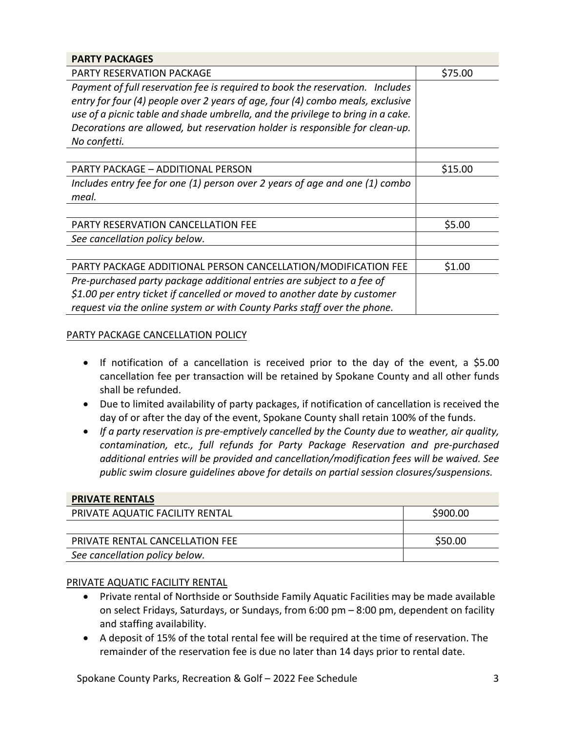| <b>PARTY PACKAGES</b>                                                           |         |
|---------------------------------------------------------------------------------|---------|
| PARTY RESERVATION PACKAGE                                                       | \$75.00 |
| Payment of full reservation fee is required to book the reservation. Includes   |         |
| entry for four (4) people over 2 years of age, four (4) combo meals, exclusive  |         |
| use of a picnic table and shade umbrella, and the privilege to bring in a cake. |         |
| Decorations are allowed, but reservation holder is responsible for clean-up.    |         |
| No confetti.                                                                    |         |
|                                                                                 |         |
| <b>PARTY PACKAGE - ADDITIONAL PERSON</b>                                        | \$15.00 |
| Includes entry fee for one $(1)$ person over 2 years of age and one $(1)$ combo |         |
| meal.                                                                           |         |
|                                                                                 |         |
| PARTY RESERVATION CANCELLATION FEE                                              | \$5.00  |
| See cancellation policy below.                                                  |         |
|                                                                                 |         |
| PARTY PACKAGE ADDITIONAL PERSON CANCELLATION/MODIFICATION FEE                   | \$1.00  |
| Pre-purchased party package additional entries are subject to a fee of          |         |
| $$1.00$ per entry ticket if cancelled or moved to another date by customer      |         |
| request via the online system or with County Parks staff over the phone.        |         |

### PARTY PACKAGE CANCELLATION POLICY

- If notification of a cancellation is received prior to the day of the event, a \$5.00 cancellation fee per transaction will be retained by Spokane County and all other funds shall be refunded.
- Due to limited availability of party packages, if notification of cancellation is received the day of or after the day of the event, Spokane County shall retain 100% of the funds.
- *If a party reservation is pre-emptively cancelled by the County due to weather, air quality, contamination, etc., full refunds for Party Package Reservation and pre-purchased additional entries will be provided and cancellation/modification fees will be waived. See public swim closure guidelines above for details on partial session closures/suspensions.*

| <b>PRIVATE RENTALS</b>          |          |
|---------------------------------|----------|
| PRIVATE AQUATIC FACILITY RENTAL | \$900.00 |
|                                 |          |
| PRIVATE RENTAL CANCELLATION FEE | \$50.00  |
| See cancellation policy below.  |          |

### PRIVATE AQUATIC FACILITY RENTAL

- Private rental of Northside or Southside Family Aquatic Facilities may be made available on select Fridays, Saturdays, or Sundays, from 6:00 pm – 8:00 pm, dependent on facility and staffing availability.
- A deposit of 15% of the total rental fee will be required at the time of reservation. The remainder of the reservation fee is due no later than 14 days prior to rental date.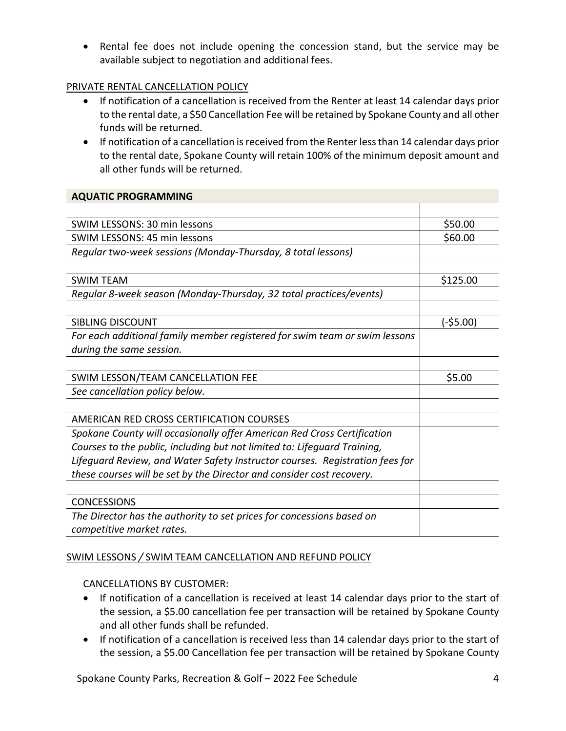• Rental fee does not include opening the concession stand, but the service may be available subject to negotiation and additional fees.

## PRIVATE RENTAL CANCELLATION POLICY

- If notification of a cancellation is received from the Renter at least 14 calendar days prior to the rental date, a \$50 Cancellation Fee will be retained by Spokane County and all other funds will be returned.
- If notification of a cancellation is received from the Renter less than 14 calendar days prior to the rental date, Spokane County will retain 100% of the minimum deposit amount and all other funds will be returned.

### **AQUATIC PROGRAMMING**

| SWIM LESSONS: 30 min lessons                                                 | \$50.00   |
|------------------------------------------------------------------------------|-----------|
| SWIM LESSONS: 45 min lessons                                                 | \$60.00   |
| Regular two-week sessions (Monday-Thursday, 8 total lessons)                 |           |
|                                                                              |           |
| <b>SWIM TEAM</b>                                                             | \$125.00  |
| Regular 8-week season (Monday-Thursday, 32 total practices/events)           |           |
|                                                                              |           |
| SIBLING DISCOUNT                                                             | (-\$5.00) |
| For each additional family member registered for swim team or swim lessons   |           |
| during the same session.                                                     |           |
|                                                                              |           |
| SWIM LESSON/TEAM CANCELLATION FEE                                            | \$5.00    |
| See cancellation policy below.                                               |           |
|                                                                              |           |
| AMERICAN RED CROSS CERTIFICATION COURSES                                     |           |
| Spokane County will occasionally offer American Red Cross Certification      |           |
| Courses to the public, including but not limited to: Lifeguard Training,     |           |
| Lifeguard Review, and Water Safety Instructor courses. Registration fees for |           |
| these courses will be set by the Director and consider cost recovery.        |           |
|                                                                              |           |
| <b>CONCESSIONS</b>                                                           |           |
| The Director has the authority to set prices for concessions based on        |           |
| competitive market rates.                                                    |           |

### SWIM LESSONS */* SWIM TEAM CANCELLATION AND REFUND POLICY

### CANCELLATIONS BY CUSTOMER:

- If notification of a cancellation is received at least 14 calendar days prior to the start of the session, a \$5.00 cancellation fee per transaction will be retained by Spokane County and all other funds shall be refunded.
- If notification of a cancellation is received less than 14 calendar days prior to the start of the session, a \$5.00 Cancellation fee per transaction will be retained by Spokane County

Spokane County Parks, Recreation & Golf – 2022 Fee Schedule 4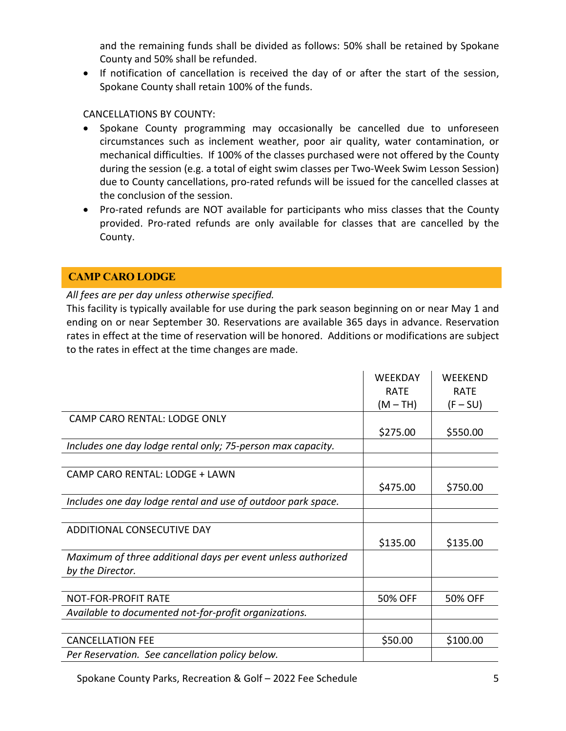and the remaining funds shall be divided as follows: 50% shall be retained by Spokane County and 50% shall be refunded.

• If notification of cancellation is received the day of or after the start of the session, Spokane County shall retain 100% of the funds.

## CANCELLATIONS BY COUNTY:

- Spokane County programming may occasionally be cancelled due to unforeseen circumstances such as inclement weather, poor air quality, water contamination, or mechanical difficulties. If 100% of the classes purchased were not offered by the County during the session (e.g. a total of eight swim classes per Two-Week Swim Lesson Session) due to County cancellations, pro-rated refunds will be issued for the cancelled classes at the conclusion of the session.
- Pro-rated refunds are NOT available for participants who miss classes that the County provided. Pro-rated refunds are only available for classes that are cancelled by the County.

# <span id="page-4-0"></span>**CAMP CARO LODGE**

### *All fees are per day unless otherwise specified.*

This facility is typically available for use during the park season beginning on or near May 1 and ending on or near September 30. Reservations are available 365 days in advance. Reservation rates in effect at the time of reservation will be honored. Additions or modifications are subject to the rates in effect at the time changes are made.

|                                                              | <b>WEEKDAY</b> | <b>WEEKEND</b> |
|--------------------------------------------------------------|----------------|----------------|
|                                                              | <b>RATE</b>    | <b>RATE</b>    |
|                                                              | $(M-TH)$       | $(F-SU)$       |
| CAMP CARO RENTAL: LODGE ONLY                                 |                |                |
|                                                              | \$275.00       | \$550.00       |
| Includes one day lodge rental only; 75-person max capacity.  |                |                |
|                                                              |                |                |
| CAMP CARO RENTAL: LODGE + LAWN                               |                |                |
|                                                              | \$475.00       | \$750.00       |
| Includes one day lodge rental and use of outdoor park space. |                |                |
|                                                              |                |                |
| ADDITIONAL CONSECUTIVE DAY                                   |                |                |
|                                                              | \$135.00       | \$135.00       |
| Maximum of three additional days per event unless authorized |                |                |
| by the Director.                                             |                |                |
|                                                              |                |                |
| <b>NOT-FOR-PROFIT RATE</b>                                   | 50% OFF        | <b>50% OFF</b> |
| Available to documented not-for-profit organizations.        |                |                |
|                                                              |                |                |
| <b>CANCELLATION FEE</b>                                      | \$50.00        | \$100.00       |
| Per Reservation. See cancellation policy below.              |                |                |

Spokane County Parks, Recreation & Golf – 2022 Fee Schedule 5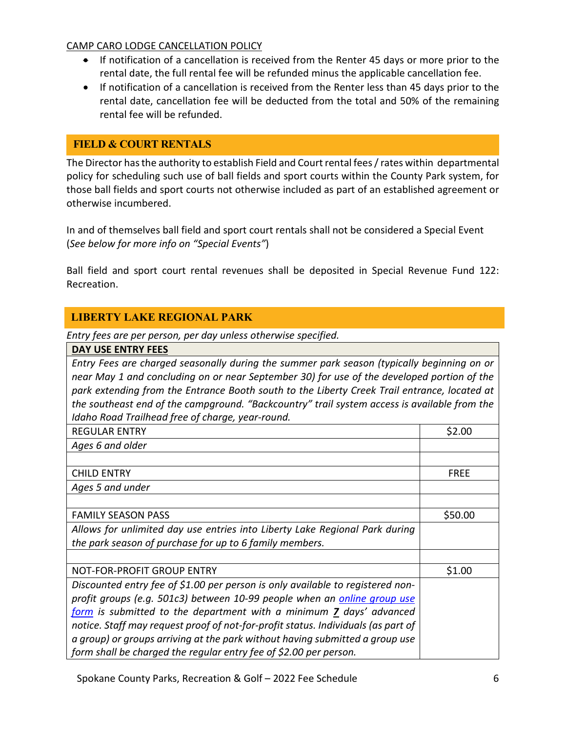### CAMP CARO LODGE CANCELLATION POLICY

- If notification of a cancellation is received from the Renter 45 days or more prior to the rental date, the full rental fee will be refunded minus the applicable cancellation fee.
- If notification of a cancellation is received from the Renter less than 45 days prior to the rental date, cancellation fee will be deducted from the total and 50% of the remaining rental fee will be refunded.

## <span id="page-5-0"></span>**FIELD & COURT RENTALS**

The Director has the authority to establish Field and Court rental fees / rates within departmental policy for scheduling such use of ball fields and sport courts within the County Park system, for those ball fields and sport courts not otherwise included as part of an established agreement or otherwise incumbered.

In and of themselves ball field and sport court rentals shall not be considered a Special Event (*See below for more info on "Special Events"*)

Ball field and sport court rental revenues shall be deposited in Special Revenue Fund 122: Recreation.

### **LIBERTY LAKE REGIONAL PARK**

*Entry fees are per person, per day unless otherwise specified.*

|--|

*Entry Fees are charged seasonally during the summer park season (typically beginning on or near May 1 and concluding on or near September 30) for use of the developed portion of the park extending from the Entrance Booth south to the Liberty Creek Trail entrance, located at the southeast end of the campground. "Backcountry" trail system access is available from the Idaho Road Trailhead free of charge, year-round.*

| <b>REGULAR ENTRY</b>                                                              | \$2.00      |
|-----------------------------------------------------------------------------------|-------------|
| Ages 6 and older                                                                  |             |
|                                                                                   |             |
| <b>CHILD ENTRY</b>                                                                | <b>FREE</b> |
| Ages 5 and under                                                                  |             |
|                                                                                   |             |
| <b>FAMILY SEASON PASS</b>                                                         | \$50.00     |
| Allows for unlimited day use entries into Liberty Lake Regional Park during       |             |
| the park season of purchase for up to 6 family members.                           |             |
|                                                                                   |             |
| NOT-FOR-PROFIT GROUP ENTRY                                                        | \$1.00      |
| Discounted entry fee of \$1.00 per person is only available to registered non-    |             |
| profit groups (e.g. 501c3) between 10-99 people when an online group use          |             |
| form is submitted to the department with a minimum 7 days' advanced               |             |
| notice. Staff may request proof of not-for-profit status. Individuals (as part of |             |
| a group) or groups arriving at the park without having submitted a group use      |             |
| form shall be charged the regular entry fee of \$2.00 per person.                 |             |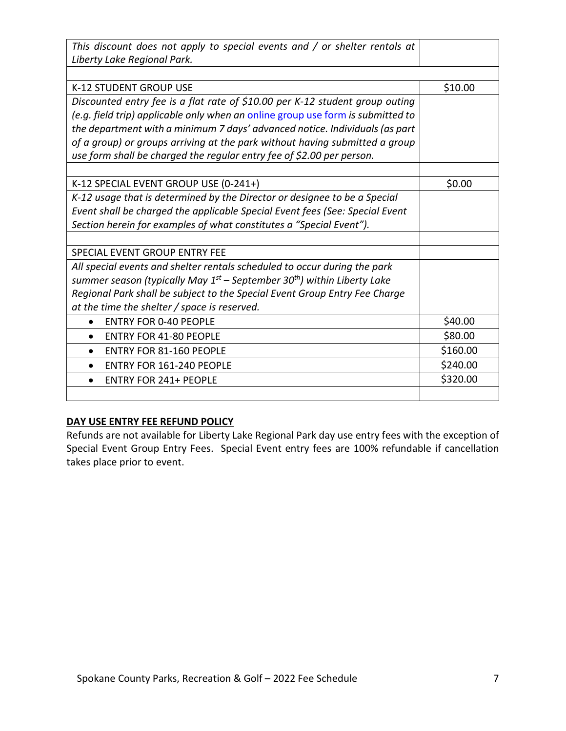| This discount does not apply to special events and $/$ or shelter rentals at             |          |
|------------------------------------------------------------------------------------------|----------|
| Liberty Lake Regional Park.                                                              |          |
|                                                                                          |          |
| <b>K-12 STUDENT GROUP USE</b>                                                            | \$10.00  |
| Discounted entry fee is a flat rate of \$10.00 per K-12 student group outing             |          |
| (e.g. field trip) applicable only when an online group use form is submitted to          |          |
| the department with a minimum 7 days' advanced notice. Individuals (as part              |          |
| of a group) or groups arriving at the park without having submitted a group              |          |
| use form shall be charged the regular entry fee of \$2.00 per person.                    |          |
|                                                                                          |          |
| K-12 SPECIAL EVENT GROUP USE (0-241+)                                                    | \$0.00   |
| K-12 usage that is determined by the Director or designee to be a Special                |          |
| Event shall be charged the applicable Special Event fees (See: Special Event             |          |
| Section herein for examples of what constitutes a "Special Event").                      |          |
|                                                                                          |          |
| SPECIAL EVENT GROUP ENTRY FEE                                                            |          |
| All special events and shelter rentals scheduled to occur during the park                |          |
| summer season (typically May $1^{st}$ – September 30 <sup>th</sup> ) within Liberty Lake |          |
| Regional Park shall be subject to the Special Event Group Entry Fee Charge               |          |
| at the time the shelter / space is reserved.                                             |          |
| <b>ENTRY FOR 0-40 PEOPLE</b><br>$\bullet$                                                | \$40.00  |
| <b>ENTRY FOR 41-80 PEOPLE</b>                                                            | \$80.00  |
| <b>ENTRY FOR 81-160 PEOPLE</b>                                                           | \$160.00 |
| ENTRY FOR 161-240 PEOPLE<br>$\bullet$                                                    | \$240.00 |
| <b>ENTRY FOR 241+ PEOPLE</b><br>$\bullet$                                                | \$320.00 |
|                                                                                          |          |

### **DAY USE ENTRY FEE REFUND POLICY**

Refunds are not available for Liberty Lake Regional Park day use entry fees with the exception of Special Event Group Entry Fees. Special Event entry fees are 100% refundable if cancellation takes place prior to event.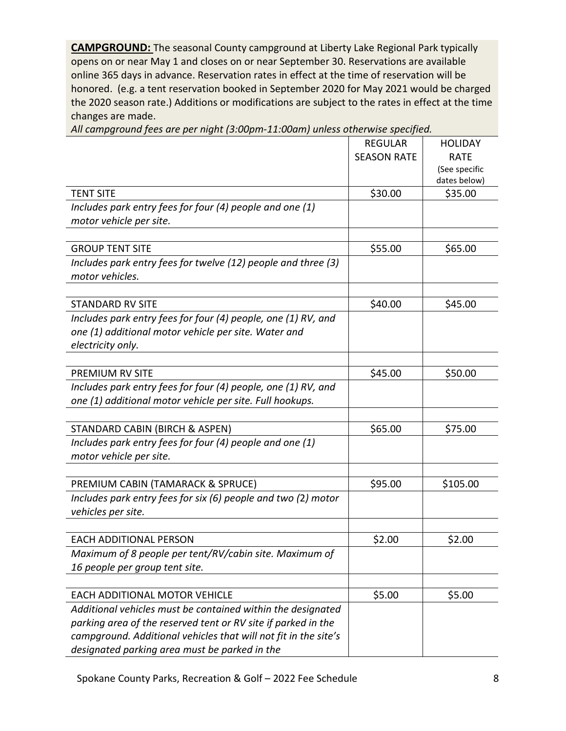**CAMPGROUND:** The seasonal County campground at Liberty Lake Regional Park typically opens on or near May 1 and closes on or near September 30. Reservations are available online 365 days in advance. Reservation rates in effect at the time of reservation will be honored. (e.g. a tent reservation booked in September 2020 for May 2021 would be charged the 2020 season rate.) Additions or modifications are subject to the rates in effect at the time changes are made.

|                                                                 | <b>REGULAR</b>     | <b>HOLIDAY</b> |
|-----------------------------------------------------------------|--------------------|----------------|
|                                                                 | <b>SEASON RATE</b> | <b>RATE</b>    |
|                                                                 |                    | (See specific  |
|                                                                 |                    | dates below)   |
| <b>TENT SITE</b>                                                | \$30.00            | \$35.00        |
| Includes park entry fees for four (4) people and one (1)        |                    |                |
| motor vehicle per site.                                         |                    |                |
|                                                                 |                    |                |
| <b>GROUP TENT SITE</b>                                          | \$55.00            | \$65.00        |
| Includes park entry fees for twelve (12) people and three (3)   |                    |                |
| motor vehicles.                                                 |                    |                |
|                                                                 |                    |                |
| <b>STANDARD RV SITE</b>                                         | \$40.00            | \$45.00        |
| Includes park entry fees for four (4) people, one (1) RV, and   |                    |                |
| one (1) additional motor vehicle per site. Water and            |                    |                |
| electricity only.                                               |                    |                |
|                                                                 |                    |                |
| <b>PREMIUM RV SITE</b>                                          | \$45.00            | \$50.00        |
| Includes park entry fees for four (4) people, one (1) RV, and   |                    |                |
| one (1) additional motor vehicle per site. Full hookups.        |                    |                |
|                                                                 |                    |                |
| STANDARD CABIN (BIRCH & ASPEN)                                  | \$65.00            | \$75.00        |
| Includes park entry fees for four (4) people and one (1)        |                    |                |
| motor vehicle per site.                                         |                    |                |
|                                                                 |                    |                |
| PREMIUM CABIN (TAMARACK & SPRUCE)                               | \$95.00            | \$105.00       |
| Includes park entry fees for six (6) people and two (2) motor   |                    |                |
| vehicles per site.                                              |                    |                |
|                                                                 |                    |                |
| <b>EACH ADDITIONAL PERSON</b>                                   | \$2.00             | \$2.00         |
| Maximum of 8 people per tent/RV/cabin site. Maximum of          |                    |                |
| 16 people per group tent site.                                  |                    |                |
|                                                                 |                    |                |
| <b>EACH ADDITIONAL MOTOR VEHICLE</b>                            | \$5.00             | \$5.00         |
| Additional vehicles must be contained within the designated     |                    |                |
| parking area of the reserved tent or RV site if parked in the   |                    |                |
| campground. Additional vehicles that will not fit in the site's |                    |                |
| designated parking area must be parked in the                   |                    |                |

*All campground fees are per night (3:00pm-11:00am) unless otherwise specified.*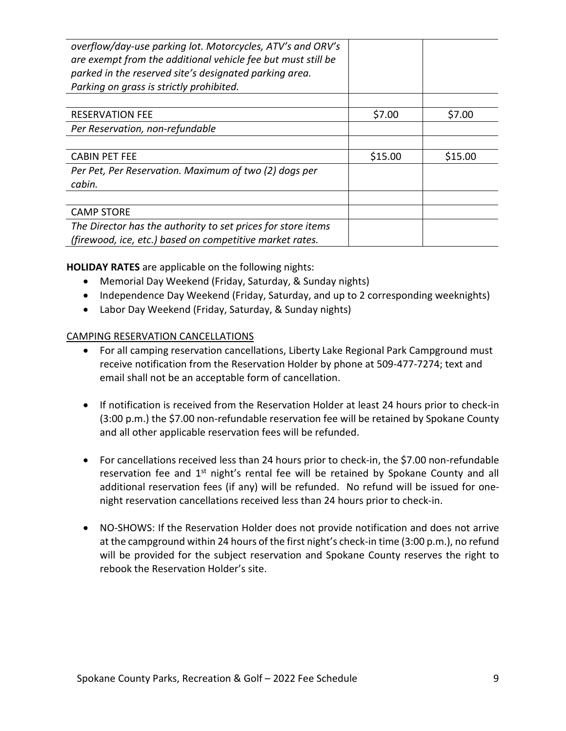| overflow/day-use parking lot. Motorcycles, ATV's and ORV's<br>are exempt from the additional vehicle fee but must still be<br>parked in the reserved site's designated parking area. |         |         |
|--------------------------------------------------------------------------------------------------------------------------------------------------------------------------------------|---------|---------|
| Parking on grass is strictly prohibited.                                                                                                                                             |         |         |
|                                                                                                                                                                                      |         |         |
| <b>RESERVATION FEE</b>                                                                                                                                                               | \$7.00  | \$7.00  |
| Per Reservation, non-refundable                                                                                                                                                      |         |         |
|                                                                                                                                                                                      |         |         |
| <b>CABIN PET FEE</b>                                                                                                                                                                 | \$15.00 | \$15.00 |
| Per Pet, Per Reservation. Maximum of two (2) dogs per                                                                                                                                |         |         |
| cabin.                                                                                                                                                                               |         |         |
|                                                                                                                                                                                      |         |         |
| <b>CAMP STORE</b>                                                                                                                                                                    |         |         |
| The Director has the authority to set prices for store items                                                                                                                         |         |         |
| (firewood, ice, etc.) based on competitive market rates.                                                                                                                             |         |         |

**HOLIDAY RATES** are applicable on the following nights:

- Memorial Day Weekend (Friday, Saturday, & Sunday nights)
- Independence Day Weekend (Friday, Saturday, and up to 2 corresponding weeknights)
- Labor Day Weekend (Friday, Saturday, & Sunday nights)

### CAMPING RESERVATION CANCELLATIONS

- For all camping reservation cancellations, Liberty Lake Regional Park Campground must receive notification from the Reservation Holder by phone at 509-477-7274; text and email shall not be an acceptable form of cancellation.
- If notification is received from the Reservation Holder at least 24 hours prior to check-in (3:00 p.m.) the \$7.00 non-refundable reservation fee will be retained by Spokane County and all other applicable reservation fees will be refunded.
- For cancellations received less than 24 hours prior to check-in, the \$7.00 non-refundable reservation fee and 1<sup>st</sup> night's rental fee will be retained by Spokane County and all additional reservation fees (if any) will be refunded. No refund will be issued for onenight reservation cancellations received less than 24 hours prior to check-in.
- NO-SHOWS: If the Reservation Holder does not provide notification and does not arrive at the campground within 24 hours of the first night's check-in time (3:00 p.m.), no refund will be provided for the subject reservation and Spokane County reserves the right to rebook the Reservation Holder's site.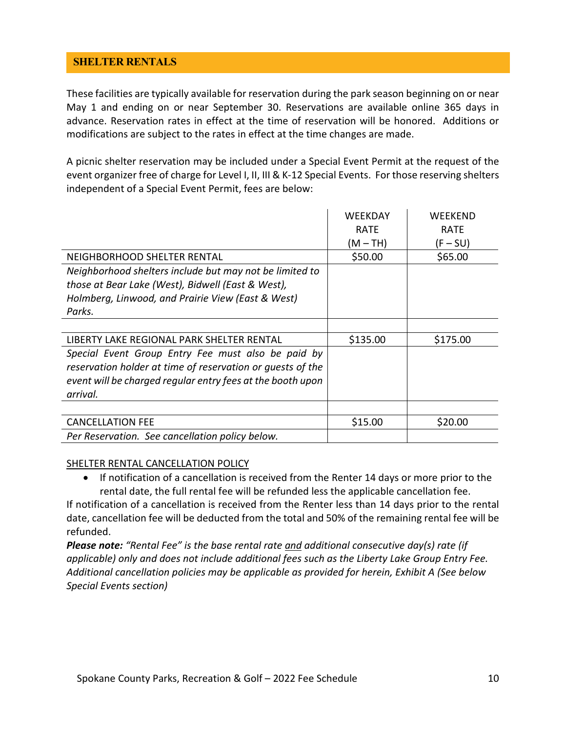## <span id="page-9-0"></span>**SHELTER RENTALS**

These facilities are typically available for reservation during the park season beginning on or near May 1 and ending on or near September 30. Reservations are available online 365 days in advance. Reservation rates in effect at the time of reservation will be honored. Additions or modifications are subject to the rates in effect at the time changes are made.

A picnic shelter reservation may be included under a Special Event Permit at the request of the event organizer free of charge for Level I, II, III & K-12 Special Events. For those reserving shelters independent of a Special Event Permit, fees are below:

|                                                            | <b>WEEKDAY</b><br><b>RATE</b><br>$(M-TH)$ | WEEKEND<br><b>RATE</b><br>$(F-SU)$ |
|------------------------------------------------------------|-------------------------------------------|------------------------------------|
| NEIGHBORHOOD SHELTER RENTAL                                | \$50.00                                   | \$65.00                            |
| Neighborhood shelters include but may not be limited to    |                                           |                                    |
| those at Bear Lake (West), Bidwell (East & West),          |                                           |                                    |
| Holmberg, Linwood, and Prairie View (East & West)          |                                           |                                    |
| Parks.                                                     |                                           |                                    |
|                                                            |                                           |                                    |
| LIBERTY LAKE REGIONAL PARK SHELTER RENTAL                  | \$135.00                                  | \$175.00                           |
| Special Event Group Entry Fee must also be paid by         |                                           |                                    |
| reservation holder at time of reservation or quests of the |                                           |                                    |
| event will be charged regular entry fees at the booth upon |                                           |                                    |
| arrival.                                                   |                                           |                                    |
|                                                            |                                           |                                    |
| <b>CANCELLATION FEE</b>                                    | \$15.00                                   | \$20.00                            |
| Per Reservation. See cancellation policy below.            |                                           |                                    |

#### SHELTER RENTAL CANCELLATION POLICY

• If notification of a cancellation is received from the Renter 14 days or more prior to the rental date, the full rental fee will be refunded less the applicable cancellation fee.

If notification of a cancellation is received from the Renter less than 14 days prior to the rental date, cancellation fee will be deducted from the total and 50% of the remaining rental fee will be refunded.

*Please note: "Rental Fee" is the base rental rate and additional consecutive day(s) rate (if applicable) only and does not include additional fees such as the Liberty Lake Group Entry Fee. Additional cancellation policies may be applicable as provided for herein, Exhibit A (See below Special Events section)*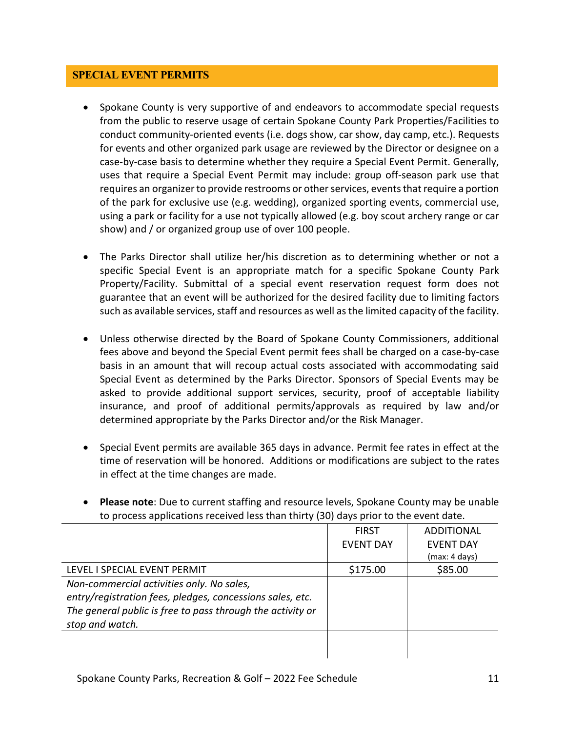### <span id="page-10-0"></span>**SPECIAL EVENT PERMITS**

- Spokane County is very supportive of and endeavors to accommodate special requests from the public to reserve usage of certain Spokane County Park Properties/Facilities to conduct community-oriented events (i.e. dogs show, car show, day camp, etc.). Requests for events and other organized park usage are reviewed by the Director or designee on a case-by-case basis to determine whether they require a Special Event Permit. Generally, uses that require a Special Event Permit may include: group off-season park use that requires an organizer to provide restrooms or other services, events that require a portion of the park for exclusive use (e.g. wedding), organized sporting events, commercial use, using a park or facility for a use not typically allowed (e.g. boy scout archery range or car show) and / or organized group use of over 100 people.
- The Parks Director shall utilize her/his discretion as to determining whether or not a specific Special Event is an appropriate match for a specific Spokane County Park Property/Facility. Submittal of a special event reservation request form does not guarantee that an event will be authorized for the desired facility due to limiting factors such as available services, staff and resources as well as the limited capacity of the facility.
- Unless otherwise directed by the Board of Spokane County Commissioners, additional fees above and beyond the Special Event permit fees shall be charged on a case-by-case basis in an amount that will recoup actual costs associated with accommodating said Special Event as determined by the Parks Director. Sponsors of Special Events may be asked to provide additional support services, security, proof of acceptable liability insurance, and proof of additional permits/approvals as required by law and/or determined appropriate by the Parks Director and/or the Risk Manager.
- Special Event permits are available 365 days in advance. Permit fee rates in effect at the time of reservation will be honored. Additions or modifications are subject to the rates in effect at the time changes are made.
- **Please note**: Due to current staffing and resource levels, Spokane County may be unable to process applications received less than thirty (30) days prior to the event date.

|                                                            | <b>FIRST</b>     | <b>ADDITIONAL</b> |
|------------------------------------------------------------|------------------|-------------------|
|                                                            | <b>EVENT DAY</b> | <b>EVENT DAY</b>  |
|                                                            |                  | (max: 4 days)     |
| LEVEL I SPECIAL EVENT PERMIT                               | \$175.00         | \$85.00           |
| Non-commercial activities only. No sales,                  |                  |                   |
| entry/registration fees, pledges, concessions sales, etc.  |                  |                   |
| The general public is free to pass through the activity or |                  |                   |
| stop and watch.                                            |                  |                   |
|                                                            |                  |                   |
|                                                            |                  |                   |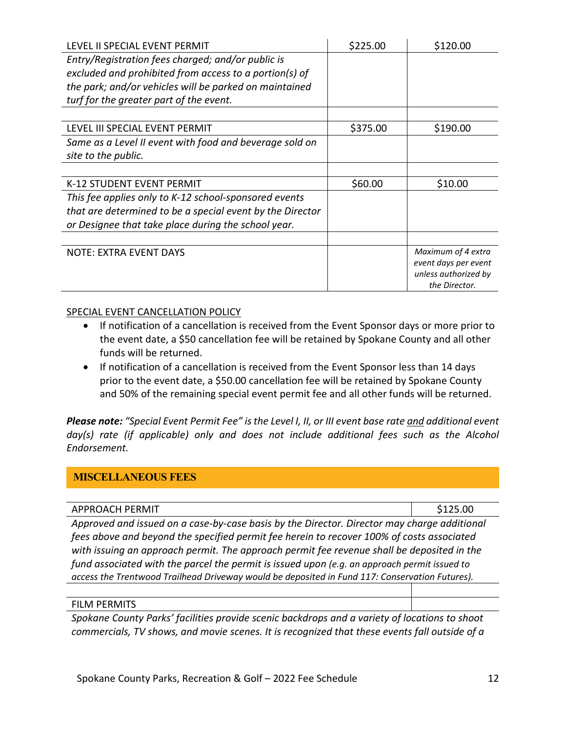| LEVEL II SPECIAL EVENT PERMIT                             | \$225.00 | \$120.00                              |
|-----------------------------------------------------------|----------|---------------------------------------|
| Entry/Registration fees charged; and/or public is         |          |                                       |
| excluded and prohibited from access to a portion(s) of    |          |                                       |
| the park; and/or vehicles will be parked on maintained    |          |                                       |
| turf for the greater part of the event.                   |          |                                       |
|                                                           |          |                                       |
| LEVEL III SPECIAL EVENT PERMIT                            | \$375.00 | \$190.00                              |
| Same as a Level II event with food and beverage sold on   |          |                                       |
| site to the public.                                       |          |                                       |
|                                                           |          |                                       |
| <b>K-12 STUDENT EVENT PERMIT</b>                          | \$60.00  | \$10.00                               |
| This fee applies only to K-12 school-sponsored events     |          |                                       |
| that are determined to be a special event by the Director |          |                                       |
| or Designee that take place during the school year.       |          |                                       |
|                                                           |          |                                       |
| <b>NOTE: EXTRA EVENT DAYS</b>                             |          | Maximum of 4 extra                    |
|                                                           |          | event days per event                  |
|                                                           |          | unless authorized by<br>the Director. |

### SPECIAL EVENT CANCELLATION POLICY

- If notification of a cancellation is received from the Event Sponsor days or more prior to the event date, a \$50 cancellation fee will be retained by Spokane County and all other funds will be returned.
- If notification of a cancellation is received from the Event Sponsor less than 14 days prior to the event date, a \$50.00 cancellation fee will be retained by Spokane County and 50% of the remaining special event permit fee and all other funds will be returned.

*Please note: "Special Event Permit Fee" is the Level I, II, or III event base rate and additional event*  day(s) rate (if applicable) only and does not include additional fees such as the Alcohol *Endorsement.* 

### <span id="page-11-0"></span>**MISCELLANEOUS FEES**

| <b>APPROACH PERMIT</b>                                                                         | \$125.00 |  |
|------------------------------------------------------------------------------------------------|----------|--|
| Approved and issued on a case-by-case basis by the Director. Director may charge additional    |          |  |
| fees above and beyond the specified permit fee herein to recover 100% of costs associated      |          |  |
| with issuing an approach permit. The approach permit fee revenue shall be deposited in the     |          |  |
| fund associated with the parcel the permit is issued upon (e.g. an approach permit issued to   |          |  |
| access the Trentwood Trailhead Driveway would be deposited in Fund 117: Conservation Futures). |          |  |
|                                                                                                |          |  |

#### FILM PERMITS

*Spokane County Parks' facilities provide scenic backdrops and a variety of locations to shoot commercials, TV shows, and movie scenes. It is recognized that these events fall outside of a*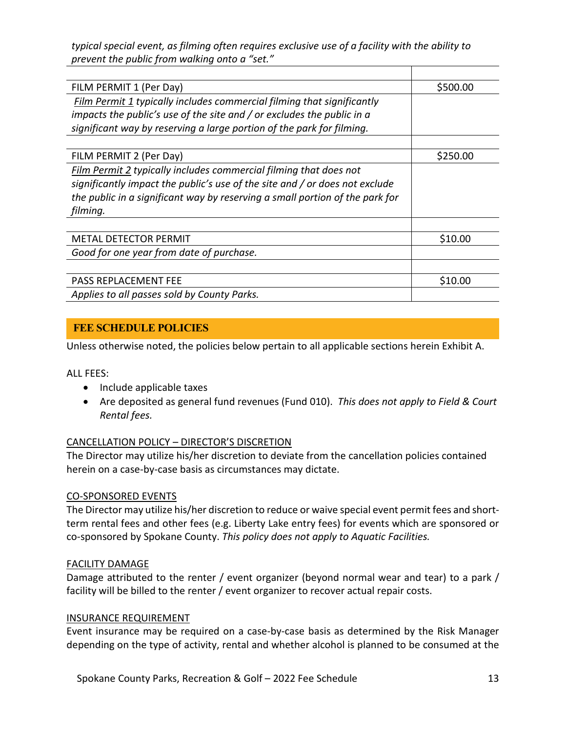*typical special event, as filming often requires exclusive use of a facility with the ability to prevent the public from walking onto a "set."*

| FILM PERMIT 1 (Per Day)                                                      | \$500.00 |
|------------------------------------------------------------------------------|----------|
| Film Permit 1 typically includes commercial filming that significantly       |          |
| impacts the public's use of the site and / or excludes the public in a       |          |
| significant way by reserving a large portion of the park for filming.        |          |
|                                                                              |          |
| FILM PERMIT 2 (Per Day)                                                      | \$250.00 |
| Film Permit 2 typically includes commercial filming that does not            |          |
| significantly impact the public's use of the site and / or does not exclude  |          |
| the public in a significant way by reserving a small portion of the park for |          |
| filming.                                                                     |          |
|                                                                              |          |
| METAL DETECTOR PERMIT                                                        | \$10.00  |
| Good for one year from date of purchase.                                     |          |
|                                                                              |          |
| PASS REPLACEMENT FEE                                                         | \$10.00  |
| Applies to all passes sold by County Parks.                                  |          |

## <span id="page-12-0"></span>**FEE SCHEDULE POLICIES**

Unless otherwise noted, the policies below pertain to all applicable sections herein Exhibit A.

ALL FEES:

- Include applicable taxes
- Are deposited as general fund revenues (Fund 010). *This does not apply to Field & Court Rental fees.*

### CANCELLATION POLICY – DIRECTOR'S DISCRETION

The Director may utilize his/her discretion to deviate from the cancellation policies contained herein on a case-by-case basis as circumstances may dictate.

### CO-SPONSORED EVENTS

The Director may utilize his/her discretion to reduce or waive special event permit fees and shortterm rental fees and other fees (e.g. Liberty Lake entry fees) for events which are sponsored or co-sponsored by Spokane County. *This policy does not apply to Aquatic Facilities.*

### FACILITY DAMAGE

Damage attributed to the renter / event organizer (beyond normal wear and tear) to a park / facility will be billed to the renter / event organizer to recover actual repair costs.

### INSURANCE REQUIREMENT

Event insurance may be required on a case-by-case basis as determined by the Risk Manager depending on the type of activity, rental and whether alcohol is planned to be consumed at the